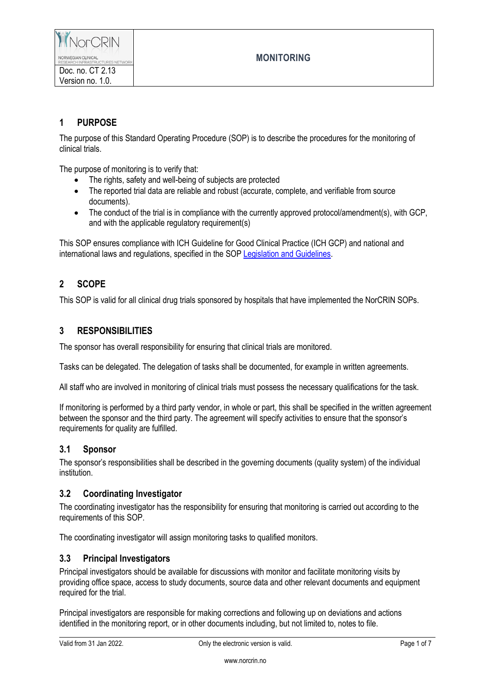

## **1 PURPOSE**

Version no. 1.0.

The purpose of this Standard Operating Procedure (SOP) is to describe the procedures for the monitoring of clinical trials.

The purpose of monitoring is to verify that:

- The rights, safety and well-being of subjects are protected
- The reported trial data are reliable and robust (accurate, complete, and verifiable from source documents).
- The conduct of the trial is in compliance with the currently approved protocol/amendment(s), with GCP, and with the applicable regulatory requirement(s)

This SOP ensures compliance with ICH Guideline for Good Clinical Practice (ICH GCP) and national and international laws and regulations, specified in the SOP [Legislation and Guidelines.](https://www.norcrin.no/documents/2022/01/ct-1-02-legislation-and-guidelines.docx/)

## **2 SCOPE**

This SOP is valid for all clinical drug trials sponsored by hospitals that have implemented the NorCRIN SOPs.

#### **3 RESPONSIBILITIES**

The sponsor has overall responsibility for ensuring that clinical trials are monitored.

Tasks can be delegated. The delegation of tasks shall be documented, for example in written agreements.

All staff who are involved in monitoring of clinical trials must possess the necessary qualifications for the task.

If monitoring is performed by a third party vendor, in whole or part, this shall be specified in the written agreement between the sponsor and the third party. The agreement will specify activities to ensure that the sponsor's requirements for quality are fulfilled.

#### **3.1 Sponsor**

The sponsor's responsibilities shall be described in the governing documents (quality system) of the individual institution.

#### **3.2 Coordinating Investigator**

The coordinating investigator has the responsibility for ensuring that monitoring is carried out according to the requirements of this SOP.

The coordinating investigator will assign monitoring tasks to qualified monitors.

#### **3.3 Principal Investigators**

Principal investigators should be available for discussions with monitor and facilitate monitoring visits by providing office space, access to study documents, source data and other relevant documents and equipment required for the trial.

Principal investigators are responsible for making corrections and following up on deviations and actions identified in the monitoring report, or in other documents including, but not limited to, notes to file.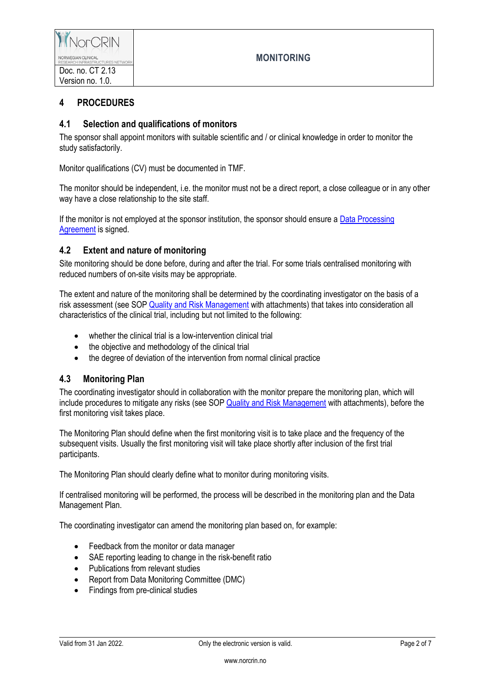

# **4 PROCEDURES**

## **4.1 Selection and qualifications of monitors**

The sponsor shall appoint monitors with suitable scientific and / or clinical knowledge in order to monitor the study satisfactorily.

Monitor qualifications (CV) must be documented in TMF.

The monitor should be independent, i.e. the monitor must not be a direct report, a close colleague or in any other way have a close relationship to the site staff.

If the monitor is not employed at the sponsor institution, the sponsor should ensure a Data [Processing](https://www.norcrin.no/documents/2022/01/ct-2-13-08-data-processing-agrement-for-monitoring-services.docx/)  [Agreement](https://www.norcrin.no/documents/2022/01/ct-2-13-08-data-processing-agrement-for-monitoring-services.docx/) is signed.

## **4.2 Extent and nature of monitoring**

Site monitoring should be done before, during and after the trial. For some trials centralised monitoring with reduced numbers of on-site visits may be appropriate.

The extent and nature of the monitoring shall be determined by the coordinating investigator on the basis of a risk assessment (see SOP [Quality and Risk Management](https://www.norcrin.no/documents/2022/01/ct-2-02-quality-and-risk-management.docx/) with attachments) that takes into consideration all characteristics of the clinical trial, including but not limited to the following:

- whether the clinical trial is a low-intervention clinical trial
- the objective and methodology of the clinical trial
- the degree of deviation of the intervention from normal clinical practice

#### **4.3 Monitoring Plan**

The coordinating investigator should in collaboration with the monitor prepare the monitoring plan, which will include procedures to mitigate any risks (see SOP Quality [and Risk Management](https://www.norcrin.no/documents/2022/01/ct-2-02-quality-and-risk-management.docx/) with attachments), before the first monitoring visit takes place.

The Monitoring Plan should define when the first monitoring visit is to take place and the frequency of the subsequent visits. Usually the first monitoring visit will take place shortly after inclusion of the first trial participants.

The Monitoring Plan should clearly define what to monitor during monitoring visits.

If centralised monitoring will be performed, the process will be described in the monitoring plan and the Data Management Plan.

The coordinating investigator can amend the monitoring plan based on, for example:

- Feedback from the monitor or data manager
- SAE reporting leading to change in the risk-benefit ratio
- Publications from relevant studies
- Report from Data Monitoring Committee (DMC)
- Findings from pre-clinical studies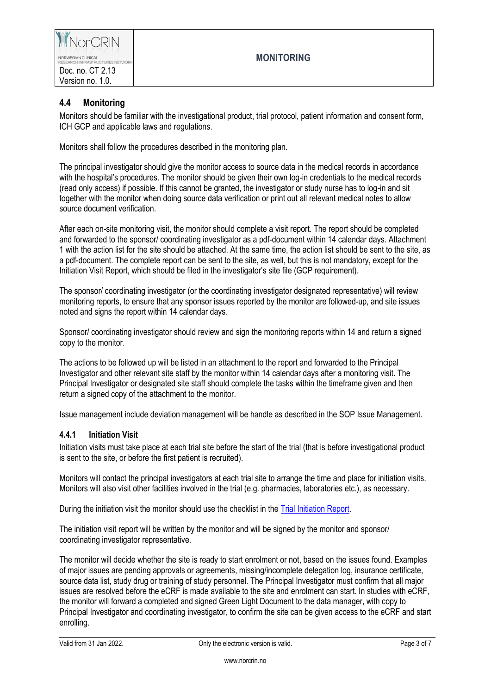

## **4.4 Monitoring**

Monitors should be familiar with the investigational product, trial protocol, patient information and consent form, ICH GCP and applicable laws and regulations.

Monitors shall follow the procedures described in the monitoring plan.

The principal investigator should give the monitor access to source data in the medical records in accordance with the hospital's procedures. The monitor should be given their own log-in credentials to the medical records (read only access) if possible. If this cannot be granted, the investigator or study nurse has to log-in and sit together with the monitor when doing source data verification or print out all relevant medical notes to allow source document verification.

After each on-site monitoring visit, the monitor should complete a visit report. The report should be completed and forwarded to the sponsor/ coordinating investigator as a pdf-document within 14 calendar days. Attachment 1 with the action list for the site should be attached. At the same time, the action list should be sent to the site, as a pdf-document. The complete report can be sent to the site, as well, but this is not mandatory, except for the Initiation Visit Report, which should be filed in the investigator's site file (GCP requirement).

The sponsor/ coordinating investigator (or the coordinating investigator designated representative) will review monitoring reports, to ensure that any sponsor issues reported by the monitor are followed-up, and site issues noted and signs the report within 14 calendar days.

Sponsor/ coordinating investigator should review and sign the monitoring reports within 14 and return a signed copy to the monitor.

The actions to be followed up will be listed in an attachment to the report and forwarded to the Principal Investigator and other relevant site staff by the monitor within 14 calendar days after a monitoring visit. The Principal Investigator or designated site staff should complete the tasks within the timeframe given and then return a signed copy of the attachment to the monitor.

Issue management include deviation management will be handle as described in the SOP Issue Management.

#### **4.4.1 Initiation Visit**

Initiation visits must take place at each trial site before the start of the trial (that is before investigational product is sent to the site, or before the first patient is recruited).

Monitors will contact the principal investigators at each trial site to arrange the time and place for initiation visits. Monitors will also visit other facilities involved in the trial (e.g. pharmacies, laboratories etc.), as necessary.

During the initiation visit the monitor should use the checklist in the Trial [Initiation Report.](https://www.norcrin.no/documents/2022/01/ct-2-13-01-trial-initiation-report.docx/)

The initiation visit report will be written by the monitor and will be signed by the monitor and sponsor/ coordinating investigator representative.

The monitor will decide whether the site is ready to start enrolment or not, based on the issues found. Examples of major issues are pending approvals or agreements, missing/incomplete delegation log, insurance certificate, source data list, study drug or training of study personnel. The Principal Investigator must confirm that all major issues are resolved before the eCRF is made available to the site and enrolment can start. In studies with eCRF, the monitor will forward a completed and signed Green Light Document to the data manager, with copy to Principal Investigator and coordinating investigator, to confirm the site can be given access to the eCRF and start enrolling.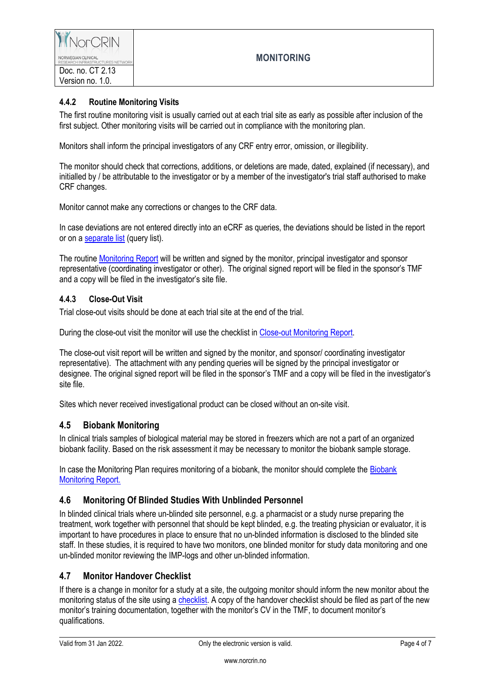

#### **4.4.2 Routine Monitoring Visits**

The first routine monitoring visit is usually carried out at each trial site as early as possible after inclusion of the first subject. Other monitoring visits will be carried out in compliance with the monitoring plan.

Monitors shall inform the principal investigators of any CRF entry error, omission, or illegibility.

The monitor should check that corrections, additions, or deletions are made, dated, explained (if necessary), and initialled by / be attributable to the investigator or by a member of the investigator's trial staff authorised to make CRF changes.

Monitor cannot make any corrections or changes to the CRF data.

In case deviations are not entered directly into an eCRF as queries, the deviations should be listed in the report or on [a separate list](https://www.norcrin.no/documents/2019/04/vedl-lm-1-05-13-template-query-list.docx) (query list).

The routine [Monitoring Report](https://www.norcrin.no/documents/2022/01/ct-2-13-02-monitoring-report.docx/) will be written and signed by the monitor, principal investigator and sponsor representative (coordinating investigator or other). The original signed report will be filed in the sponsor's TMF and a copy will be filed in the investigator's site file.

#### **4.4.3 Close-Out Visit**

Trial close-out visits should be done at each trial site at the end of the trial.

During the close-out visit the monitor will use the checklist i[n Close-out Monitoring Report.](https://www.norcrin.no/documents/2022/01/ct-2-13-03-close-out-monitoring-report.docx/)

The close-out visit report will be written and signed by the monitor, and sponsor/ coordinating investigator representative). The attachment with any pending queries will be signed by the principal investigator or designee. The original signed report will be filed in the sponsor's TMF and a copy will be filed in the investigator's site file.

Sites which never received investigational product can be closed without an on-site visit.

#### **4.5 Biobank Monitoring**

In clinical trials samples of biological material may be stored in freezers which are not a part of an organized biobank facility. Based on the risk assessment it may be necessary to monitor the biobank sample storage.

In case the Monitoring Plan requires monitoring of a biobank, the monitor should complete the [Biobank](https://www.norcrin.no/documents/2022/01/ct-2-13-04-biobank-monitoring-report.docx/) [Monitoring Report.](https://www.norcrin.no/documents/2022/01/ct-2-13-04-biobank-monitoring-report.docx/)

#### **4.6 Monitoring Of Blinded Studies With Unblinded Personnel**

In blinded clinical trials where un-blinded site personnel, e.g. a pharmacist or a study nurse preparing the treatment, work together with personnel that should be kept blinded, e.g. the treating physician or evaluator, it is important to have procedures in place to ensure that no un-blinded information is disclosed to the blinded site staff. In these studies, it is required to have two monitors, one blinded monitor for study data monitoring and one un-blinded monitor reviewing the IMP-logs and other un-blinded information.

#### **4.7 Monitor Handover Checklist**

If there is a change in monitor for a study at a site, the outgoing monitor should inform the new monitor about the monitoring status of the site using [a checklist.](https://www.norcrin.no/documents/2019/04/vedl-lm-1-05-12-trial-handover-procedure-and-checklist.docx) A copy of the handover checklist should be filed as part of the new monitor's training documentation, together with the monitor's CV in the TMF, to document monitor's qualifications.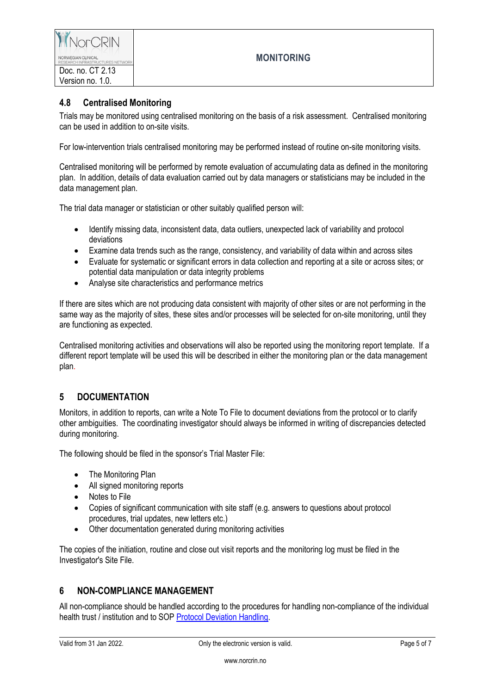

### **4.8 Centralised Monitoring**

Trials may be monitored using centralised monitoring on the basis of a risk assessment. Centralised monitoring can be used in addition to on-site visits.

For low-intervention trials centralised monitoring may be performed instead of routine on-site monitoring visits.

Centralised monitoring will be performed by remote evaluation of accumulating data as defined in the monitoring plan. In addition, details of data evaluation carried out by data managers or statisticians may be included in the data management plan.

The trial data manager or statistician or other suitably qualified person will:

- Identify missing data, inconsistent data, data outliers, unexpected lack of variability and protocol deviations
- Examine data trends such as the range, consistency, and variability of data within and across sites
- Evaluate for systematic or significant errors in data collection and reporting at a site or across sites; or potential data manipulation or data integrity problems
- Analyse site characteristics and performance metrics

If there are sites which are not producing data consistent with majority of other sites or are not performing in the same way as the majority of sites, these sites and/or processes will be selected for on-site monitoring, until they are functioning as expected.

Centralised monitoring activities and observations will also be reported using the monitoring report template. If a different report template will be used this will be described in either the monitoring plan or the data management plan.

## **5 DOCUMENTATION**

Monitors, in addition to reports, can write a Note To File to document deviations from the protocol or to clarify other ambiguities. The coordinating investigator should always be informed in writing of discrepancies detected during monitoring.

The following should be filed in the sponsor's Trial Master File:

- The Monitoring Plan
- All signed monitoring reports
- Notes to File
- Copies of significant communication with site staff (e.g. answers to questions about protocol procedures, trial updates, new letters etc.)
- Other documentation generated during monitoring activities

The copies of the initiation, routine and close out visit reports and the monitoring log must be filed in the Investigator's Site File.

## **6 NON-COMPLIANCE MANAGEMENT**

All non-compliance should be handled according to the procedures for handling non-compliance of the individual health trust / institution and to SOP [Protocol Deviation Handling.](https://www.norcrin.no/documents/2022/01/ct-2-04-protocol-deviation-handling.docx/)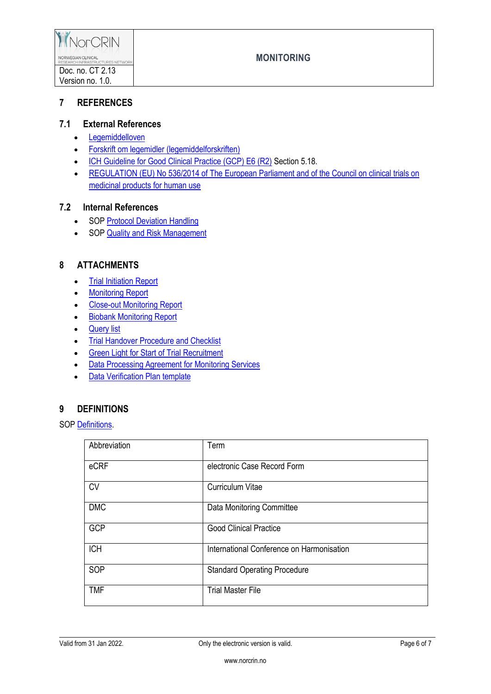

## **7 REFERENCES**

## **7.1 External References**

- [Legemiddelloven](http://www.lovdata.no/all/nl-19921204-132.html)
- [Forskrift om legemidler \(legemiddelforskriften\)](http://www.lovdata.no/for/sf/ho/xo-20091218-1839.html)
- [ICH Guideline for Good Clinical Practice \(GCP\) E6 \(R2\)](http://www.ema.europa.eu/docs/en_GB/document_library/Scientific_guideline/2009/09/WC500002874.pdf) Section 5.18.
- REGULATION (EU) No 536/2014 of The European Parliament and of the Council on clinical trials on [medicinal products for human use](http://ec.europa.eu/health/sites/health/files/files/eudralex/vol-1/reg_2014_536/reg_2014_536_en.pdf)

#### **7.2 Internal References**

- SOP [Protocol Deviation Handling](https://www.norcrin.no/documents/2022/01/ct-2-04-protocol-deviation-handling.docx/)
- SOP [Quality and Risk Management](https://www.norcrin.no/documents/2022/01/ct-2-02-quality-and-risk-management.docx/)

## **8 ATTACHMENTS**

- [Trial Initiation Report](https://www.norcrin.no/documents/2022/01/ct-2-13-01-trial-initiation-report.docx/)
- [Monitoring Report](https://www.norcrin.no/documents/2022/01/ct-2-13-02-monitoring-report.docx/)
- [Close-out Monitoring](https://www.norcrin.no/documents/2022/01/ct-2-13-03-close-out-monitoring-report.docx/) Report
- [Biobank Monitoring Report](https://www.norcrin.no/documents/2022/01/ct-2-13-04-biobank-monitoring-report.docx/)
- [Query list](https://www.norcrin.no/documents/2021/12/ct-2-13-06-query-list.docx/)
- Trial [Handover Procedure and Checklist](https://www.norcrin.no/documents/2021/12/ct-2-13-05-trial-handover-procedure-and-checklist.docx/)
- **•** [Green Light for Start of Trial Recruitment](https://www.norcrin.no/documents/2022/01/ct-2-13-07-green-light-for-start-of-trial-recruitment.doc/)
- **[Data Processing Agreement for Monitoring Services](https://www.norcrin.no/documents/2022/01/ct-2-13-08-data-processing-agrement-for-monitoring-services.docx/)**
- [Data Verification Plan](https://www.norcrin.no/documents/2022/01/ct-2-13-09-data-verification-plan-template.xlsx/) template

# **9 DEFINITIONS**

SO[P Definitions.](https://www.norcrin.no/documents/2022/01/ct-1-01-definitions.docx/)

| Abbreviation | Term                                      |
|--------------|-------------------------------------------|
| eCRF         | electronic Case Record Form               |
| <b>CV</b>    | <b>Curriculum Vitae</b>                   |
| <b>DMC</b>   | <b>Data Monitoring Committee</b>          |
| <b>GCP</b>   | <b>Good Clinical Practice</b>             |
| <b>ICH</b>   | International Conference on Harmonisation |
| SOP          | <b>Standard Operating Procedure</b>       |
| <b>TMF</b>   | <b>Trial Master File</b>                  |